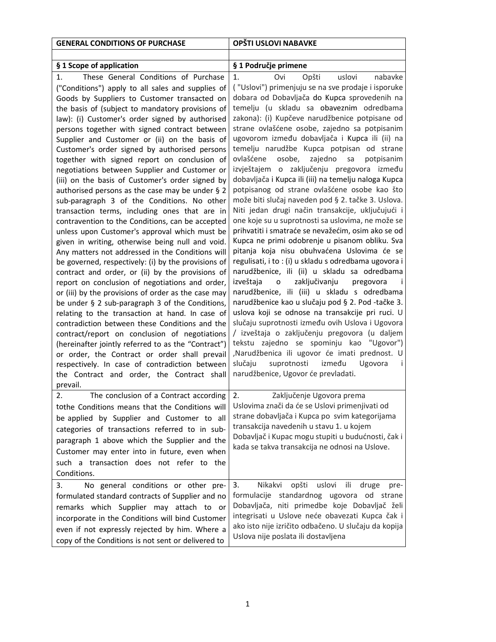| <b>GENERAL CONDITIONS OF PURCHASE</b>                                                                                                                                                                                                                                                                                                                                                                                                                                                                                                                                                                                                                                                                                                                                                                                                                                                                                                                                                                                                                                                                                                                                                                                                                                                                                                                                                                                                                                                                                                              | OPŠTI USLOVI NABAVKE                                                                                                                                                                                                                                                                                                                                                                                                                                                                                                                                                                                                                                                                                                                                                                                                                                                                                                                                                                                                                                                                                                                                                                                                                                                                                                                                                                                                                                                                                                                       |
|----------------------------------------------------------------------------------------------------------------------------------------------------------------------------------------------------------------------------------------------------------------------------------------------------------------------------------------------------------------------------------------------------------------------------------------------------------------------------------------------------------------------------------------------------------------------------------------------------------------------------------------------------------------------------------------------------------------------------------------------------------------------------------------------------------------------------------------------------------------------------------------------------------------------------------------------------------------------------------------------------------------------------------------------------------------------------------------------------------------------------------------------------------------------------------------------------------------------------------------------------------------------------------------------------------------------------------------------------------------------------------------------------------------------------------------------------------------------------------------------------------------------------------------------------|--------------------------------------------------------------------------------------------------------------------------------------------------------------------------------------------------------------------------------------------------------------------------------------------------------------------------------------------------------------------------------------------------------------------------------------------------------------------------------------------------------------------------------------------------------------------------------------------------------------------------------------------------------------------------------------------------------------------------------------------------------------------------------------------------------------------------------------------------------------------------------------------------------------------------------------------------------------------------------------------------------------------------------------------------------------------------------------------------------------------------------------------------------------------------------------------------------------------------------------------------------------------------------------------------------------------------------------------------------------------------------------------------------------------------------------------------------------------------------------------------------------------------------------------|
|                                                                                                                                                                                                                                                                                                                                                                                                                                                                                                                                                                                                                                                                                                                                                                                                                                                                                                                                                                                                                                                                                                                                                                                                                                                                                                                                                                                                                                                                                                                                                    |                                                                                                                                                                                                                                                                                                                                                                                                                                                                                                                                                                                                                                                                                                                                                                                                                                                                                                                                                                                                                                                                                                                                                                                                                                                                                                                                                                                                                                                                                                                                            |
|                                                                                                                                                                                                                                                                                                                                                                                                                                                                                                                                                                                                                                                                                                                                                                                                                                                                                                                                                                                                                                                                                                                                                                                                                                                                                                                                                                                                                                                                                                                                                    |                                                                                                                                                                                                                                                                                                                                                                                                                                                                                                                                                                                                                                                                                                                                                                                                                                                                                                                                                                                                                                                                                                                                                                                                                                                                                                                                                                                                                                                                                                                                            |
| § 1 Scope of application<br>These General Conditions of Purchase<br>1.<br>("Conditions") apply to all sales and supplies of<br>Goods by Suppliers to Customer transacted on<br>the basis of (subject to mandatory provisions of<br>law): (i) Customer's order signed by authorised<br>persons together with signed contract between<br>Supplier and Customer or (ii) on the basis of<br>Customer's order signed by authorised persons<br>together with signed report on conclusion of<br>negotiations between Supplier and Customer or<br>(iii) on the basis of Customer's order signed by<br>authorised persons as the case may be under § 2<br>sub-paragraph 3 of the Conditions. No other<br>transaction terms, including ones that are in<br>contravention to the Conditions, can be accepted<br>unless upon Customer's approval which must be<br>given in writing, otherwise being null and void.<br>Any matters not addressed in the Conditions will<br>be governed, respectively: (i) by the provisions of<br>contract and order, or (ii) by the provisions of<br>report on conclusion of negotiations and order,<br>or (iii) by the provisions of order as the case may<br>be under § 2 sub-paragraph 3 of the Conditions,<br>relating to the transaction at hand. In case of<br>contradiction between these Conditions and the<br>contract/report on conclusion of negotiations<br>(hereinafter jointly referred to as the "Contract")<br>or order, the Contract or order shall prevail<br>respectively. In case of contradiction between | § 1 Područje primene<br>Opšti<br>1.<br>Ovi<br>uslovi<br>nabavke<br>("Uslovi") primenjuju se na sve prodaje i isporuke<br>dobara od Dobavljača do Kupca sprovedenih na<br>temelju (u skladu sa obaveznim odredbama<br>zakona): (i) Kupčeve narudžbenice potpisane od<br>strane ovlašćene osobe, zajedno sa potpisanim<br>ugovorom između dobavljača i Kupca ili (ii) na<br>temelju narudžbe Kupca potpisan od strane<br>zajedno<br>ovlašćene<br>osobe,<br>sa<br>potpisanim<br>izvještajem o zaključenju pregovora između<br>dobavljača i Kupca ili (iii) na temelju naloga Kupca<br>potpisanog od strane ovlašćene osobe kao što<br>može biti slučaj naveden pod § 2. tačke 3. Uslova.<br>Niti jedan drugi način transakcije, uključujući i<br>one koje su u suprotnosti sa uslovima, ne može se<br>prihvatiti i smatraće se nevažećim, osim ako se od<br>Kupca ne primi odobrenje u pisanom obliku. Sva<br>pitanja koja nisu obuhvaćena Uslovima će se<br>regulisati, i to : (i) u skladu s odredbama ugovora i<br>narudžbenice, ili (ii) u skladu sa odredbama<br>izveštaja<br>zaključivanju<br>$\mathsf{o}$<br>pregovora<br>narudžbenice, ili (iii) u skladu s odredbama<br>narudžbenice kao u slučaju pod § 2. Pod -tačke 3.<br>uslova koji se odnose na transakcije pri ruci. U<br>slučaju suprotnosti između ovih Uslova i Ugovora<br>/ izveštaja o zaključenju pregovora (u daljem<br>tekstu zajedno se spominju kao "Ugovor")<br>,Narudžbenica ili ugovor će imati prednost. U<br>slučaju<br>suprotnosti<br>između<br>Ugovora<br>-i |
| the Contract and order, the Contract shall                                                                                                                                                                                                                                                                                                                                                                                                                                                                                                                                                                                                                                                                                                                                                                                                                                                                                                                                                                                                                                                                                                                                                                                                                                                                                                                                                                                                                                                                                                         | narudžbenice, Ugovor će prevladati.                                                                                                                                                                                                                                                                                                                                                                                                                                                                                                                                                                                                                                                                                                                                                                                                                                                                                                                                                                                                                                                                                                                                                                                                                                                                                                                                                                                                                                                                                                        |
| prevail.<br>The conclusion of a Contract according<br>2.<br>tothe Conditions means that the Conditions will<br>be applied by Supplier and Customer to all<br>categories of transactions referred to in sub-<br>paragraph 1 above which the Supplier and the<br>Customer may enter into in future, even when<br>such a transaction does not refer to the<br>Conditions.                                                                                                                                                                                                                                                                                                                                                                                                                                                                                                                                                                                                                                                                                                                                                                                                                                                                                                                                                                                                                                                                                                                                                                             | 2.<br>Zaključenje Ugovora prema<br>Uslovima znači da će se Uslovi primenjivati od<br>strane dobavljača i Kupca po svim kategorijama<br>transakcija navedenih u stavu 1. u kojem<br>Dobavljač i Kupac mogu stupiti u budućnosti, čak i<br>kada se takva transakcija ne odnosi na Uslove.                                                                                                                                                                                                                                                                                                                                                                                                                                                                                                                                                                                                                                                                                                                                                                                                                                                                                                                                                                                                                                                                                                                                                                                                                                                    |
| No general conditions or other pre-<br>3.<br>formulated standard contracts of Supplier and no<br>remarks which Supplier may attach to or<br>incorporate in the Conditions will bind Customer<br>even if not expressly rejected by him. Where a<br>copy of the Conditions is not sent or delivered to                                                                                                                                                                                                                                                                                                                                                                                                                                                                                                                                                                                                                                                                                                                                                                                                                                                                                                                                                                                                                                                                                                                                                                                                                                               | uslovi<br>3.<br>Nikakvi<br>opšti<br>ili<br>druge<br>pre-<br>formulacije standardnog ugovora od strane<br>Dobavljača, niti primedbe koje Dobavljač želi<br>integrisati u Uslove neće obavezati Kupca čak i<br>ako isto nije izričito odbačeno. U slučaju da kopija<br>Uslova nije poslata ili dostavljena                                                                                                                                                                                                                                                                                                                                                                                                                                                                                                                                                                                                                                                                                                                                                                                                                                                                                                                                                                                                                                                                                                                                                                                                                                   |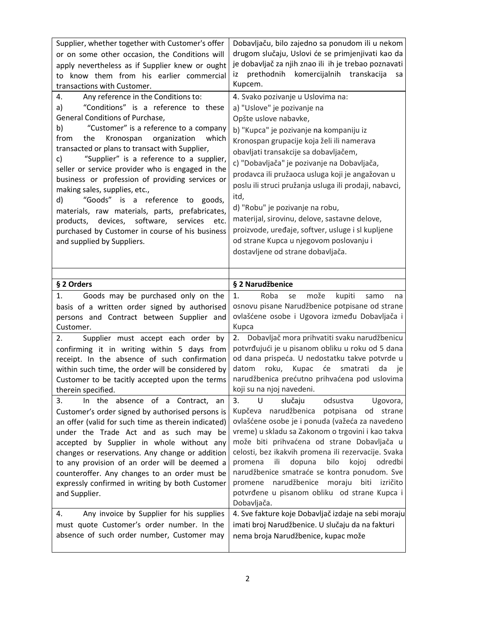| Supplier, whether together with Customer's offer<br>or on some other occasion, the Conditions will<br>apply nevertheless as if Supplier knew or ought<br>know them from his earlier commercial<br>to<br>transactions with Customer.<br>Any reference in the Conditions to:<br>4.<br>"Conditions" is a reference to these<br>a)<br>General Conditions of Purchase,<br>"Customer" is a reference to a company<br>b)<br>from<br>the<br>Kronospan<br>organization<br>which<br>transacted or plans to transact with Supplier,<br>"Supplier" is a reference to a supplier,<br>c)<br>seller or service provider who is engaged in the<br>business or profession of providing services or<br>making sales, supplies, etc.,<br>"Goods" is a reference to goods,<br>d)<br>materials, raw materials, parts, prefabricates,<br>devices, software,<br>products,<br>services<br>etc.<br>purchased by Customer in course of his business<br>and supplied by Suppliers. | Dobavljaču, bilo zajedno sa ponudom ili u nekom<br>drugom slučaju, Uslovi će se primjenjivati kao da<br>je dobavljač za njih znao ili ih je trebao poznavati<br>prethodnih komercijalnih transkacija<br>iz<br>sa<br>Kupcem.<br>4. Svako pozivanje u Uslovima na:<br>a) "Uslove" je pozivanje na<br>Opšte uslove nabavke,<br>b) "Kupca" je pozivanje na kompaniju iz<br>Kronospan grupacije koja želi ili namerava<br>obavljati transakcije sa dobavljačem,<br>c) "Dobavljača" je pozivanje na Dobavljača,<br>prodavca ili pružaoca usluga koji je angažovan u<br>poslu ili struci pružanja usluga ili prodaji, nabavci,<br>itd,<br>d) "Robu" je pozivanje na robu,<br>materijal, sirovinu, delove, sastavne delove,<br>proizvode, uređaje, softver, usluge i sl kupljene<br>od strane Kupca u njegovom poslovanju i<br>dostavljene od strane dobavljača. |
|---------------------------------------------------------------------------------------------------------------------------------------------------------------------------------------------------------------------------------------------------------------------------------------------------------------------------------------------------------------------------------------------------------------------------------------------------------------------------------------------------------------------------------------------------------------------------------------------------------------------------------------------------------------------------------------------------------------------------------------------------------------------------------------------------------------------------------------------------------------------------------------------------------------------------------------------------------|----------------------------------------------------------------------------------------------------------------------------------------------------------------------------------------------------------------------------------------------------------------------------------------------------------------------------------------------------------------------------------------------------------------------------------------------------------------------------------------------------------------------------------------------------------------------------------------------------------------------------------------------------------------------------------------------------------------------------------------------------------------------------------------------------------------------------------------------------------|
|                                                                                                                                                                                                                                                                                                                                                                                                                                                                                                                                                                                                                                                                                                                                                                                                                                                                                                                                                         |                                                                                                                                                                                                                                                                                                                                                                                                                                                                                                                                                                                                                                                                                                                                                                                                                                                          |
| § 2 Orders                                                                                                                                                                                                                                                                                                                                                                                                                                                                                                                                                                                                                                                                                                                                                                                                                                                                                                                                              | § 2 Narudžbenice                                                                                                                                                                                                                                                                                                                                                                                                                                                                                                                                                                                                                                                                                                                                                                                                                                         |
| Goods may be purchased only on the<br>1.<br>basis of a written order signed by authorised<br>persons and Contract between Supplier and<br>Customer.                                                                                                                                                                                                                                                                                                                                                                                                                                                                                                                                                                                                                                                                                                                                                                                                     | 1.<br>Roba<br>može<br>kupiti<br>se<br>samo<br>na<br>osnovu pisane Narudžbenice potpisane od strane<br>ovlašćene osobe i Ugovora između Dobavljača i<br>Kupca                                                                                                                                                                                                                                                                                                                                                                                                                                                                                                                                                                                                                                                                                             |
| Supplier must accept each order by<br>2.                                                                                                                                                                                                                                                                                                                                                                                                                                                                                                                                                                                                                                                                                                                                                                                                                                                                                                                | 2. Dobavljač mora prihvatiti svaku narudžbenicu                                                                                                                                                                                                                                                                                                                                                                                                                                                                                                                                                                                                                                                                                                                                                                                                          |
| confirming it in writing within 5 days from<br>receipt. In the absence of such confirmation<br>within such time, the order will be considered by<br>Customer to be tacitly accepted upon the terms<br>therein specified.                                                                                                                                                                                                                                                                                                                                                                                                                                                                                                                                                                                                                                                                                                                                | potvrđujući je u pisanom obliku u roku od 5 dana<br>od dana prispeća. U nedostatku takve potvrde u<br>datom<br>roku,<br>smatrati<br>Kupac<br>će<br>da<br>je<br>narudžbenica prećutno prihvaćena pod uslovima<br>koji su na njoj navedeni.                                                                                                                                                                                                                                                                                                                                                                                                                                                                                                                                                                                                                |
| In the absence of a Contract, an<br>3.<br>Customer's order signed by authorised persons is<br>an offer (valid for such time as therein indicated)<br>under the Trade Act and as such may be<br>accepted by Supplier in whole without any<br>changes or reservations. Any change or addition<br>to any provision of an order will be deemed a<br>counteroffer. Any changes to an order must be<br>expressly confirmed in writing by both Customer<br>and Supplier.<br>Any invoice by Supplier for his supplies<br>4.                                                                                                                                                                                                                                                                                                                                                                                                                                     | 3.<br>slučaju odsustva Ugovora,<br>$\cup$<br>Kupčeva narudžbenica potpisana od<br>strane<br>ovlašćene osobe je i ponuda (važeća za navedeno<br>vreme) u skladu sa Zakonom o trgovini i kao takva<br>može biti prihvaćena od strane Dobavljača u<br>celosti, bez ikakvih promena ili rezervacije. Svaka<br>dopuna<br>bilo<br>odredbi<br>promena<br>ili<br>kojoj<br>narudžbenice smatraće se kontra ponudom. Sve<br>promene narudžbenice moraju biti izričito<br>potvrđene u pisanom obliku od strane Kupca i<br>Dobavljača.<br>4. Sve fakture koje Dobavljač izdaje na sebi moraju                                                                                                                                                                                                                                                                        |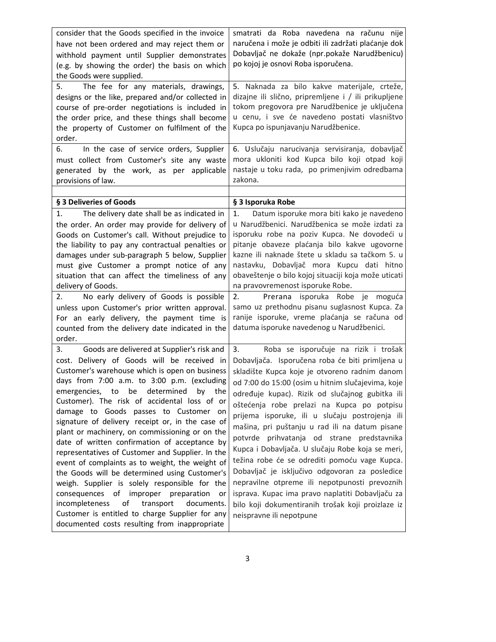| consider that the Goods specified in the invoice                                            | smatrati da Roba navedena na računu nije             |  |
|---------------------------------------------------------------------------------------------|------------------------------------------------------|--|
| have not been ordered and may reject them or                                                | naručena i može je odbiti ili zadržati plaćanje dok  |  |
| withhold payment until Supplier demonstrates                                                | Dobavljač ne dokaže (npr.pokaže Narudžbenicu)        |  |
| (e.g. by showing the order) the basis on which                                              | po kojoj je osnovi Roba isporučena.                  |  |
| the Goods were supplied.                                                                    |                                                      |  |
| The fee for any materials, drawings,<br>5.                                                  | 5. Naknada za bilo kakve materijale, crteže,         |  |
| designs or the like, prepared and/or collected in                                           | dizajne ili slično, pripremljene i / ili prikupljene |  |
| course of pre-order negotiations is included in                                             | tokom pregovora pre Narudžbenice je uključena        |  |
| the order price, and these things shall become                                              | u cenu, i sve će navedeno postati vlasništvo         |  |
| the property of Customer on fulfilment of the                                               | Kupca po ispunjavanju Narudžbenice.                  |  |
| order.                                                                                      |                                                      |  |
| In the case of service orders, Supplier<br>6.                                               | 6. Uslučaju narucivanja servisiranja, dobavljač      |  |
| must collect from Customer's site any waste                                                 | mora ukloniti kod Kupca bilo koji otpad koji         |  |
| generated by the work, as per<br>applicable                                                 | nastaje u toku rada, po primenjivim odredbama        |  |
| provisions of law.                                                                          | zakona.                                              |  |
|                                                                                             |                                                      |  |
| § 3 Deliveries of Goods                                                                     | § 3 Isporuka Robe                                    |  |
| The delivery date shall be as indicated in<br>1.                                            | Datum isporuke mora biti kako je navedeno<br>1.      |  |
| the order. An order may provide for delivery of                                             | u Narudžbenici. Narudžbenica se može izdati za       |  |
| Goods on Customer's call. Without prejudice to                                              | isporuku robe na poziv Kupca. Ne dovodeći u          |  |
| the liability to pay any contractual penalties or                                           | pitanje obaveze plaćanja bilo kakve ugovorne         |  |
| damages under sub-paragraph 5 below, Supplier                                               | kazne ili naknade štete u skladu sa tačkom 5. u      |  |
| must give Customer a prompt notice of any                                                   | nastavku, Dobavljač mora Kupcu dati hitno            |  |
| situation that can affect the timeliness of any                                             | obaveštenje o bilo kojoj situaciji koja može uticati |  |
| delivery of Goods.                                                                          | na pravovremenost isporuke Robe.                     |  |
| No early delivery of Goods is possible<br>2.                                                | Prerana isporuka Robe je moguća<br>2.                |  |
| unless upon Customer's prior written approval.                                              | samo uz prethodnu pisanu suglasnost Kupca. Za        |  |
| For an early delivery, the payment time is                                                  |                                                      |  |
|                                                                                             | ranije isporuke, vreme plaćanja se računa od         |  |
| counted from the delivery date indicated in the                                             | datuma isporuke navedenog u Narudžbenici.            |  |
| order.                                                                                      |                                                      |  |
| Goods are delivered at Supplier's risk and<br>3.                                            | 3.<br>Roba se isporučuje na rizik i trošak           |  |
| cost. Delivery of Goods will be received in                                                 | Dobavljača. Isporučena roba će biti primljena u      |  |
| Customer's warehouse which is open on business                                              | skladište Kupca koje je otvoreno radnim danom        |  |
| days from 7:00 a.m. to 3:00 p.m. (excluding                                                 | od 7:00 do 15:00 (osim u hitnim slučajevima, koje    |  |
| emergencies, to be determined by the                                                        | određuje kupac). Rizik od slučajnog gubitka ili      |  |
| Customer). The risk of accidental loss of or                                                | oštećenja robe prelazi na Kupca po potpisu           |  |
| damage to Goods passes to Customer on                                                       | prijema isporuke, ili u slučaju postrojenja ili      |  |
| signature of delivery receipt or, in the case of                                            | mašina, pri puštanju u rad ili na datum pisane       |  |
| plant or machinery, on commissioning or on the                                              | potvrde prihvatanja od strane predstavnika           |  |
| date of written confirmation of acceptance by                                               | Kupca i Dobavljača. U slučaju Robe koja se meri,     |  |
| representatives of Customer and Supplier. In the                                            | težina robe će se odrediti pomoću vage Kupca.        |  |
| event of complaints as to weight, the weight of                                             | Dobavljač je isključivo odgovoran za posledice       |  |
| the Goods will be determined using Customer's                                               | nepravilne otpreme ili nepotpunosti prevoznih        |  |
| weigh. Supplier is solely responsible for the<br>consequences of improper preparation<br>or | isprava. Kupac ima pravo naplatiti Dobavljaču za     |  |
| incompleteness<br>transport<br>documents.<br>of                                             | bilo koji dokumentiranih trošak koji proizlaze iz    |  |
| Customer is entitled to charge Supplier for any                                             | neispravne ili nepotpune                             |  |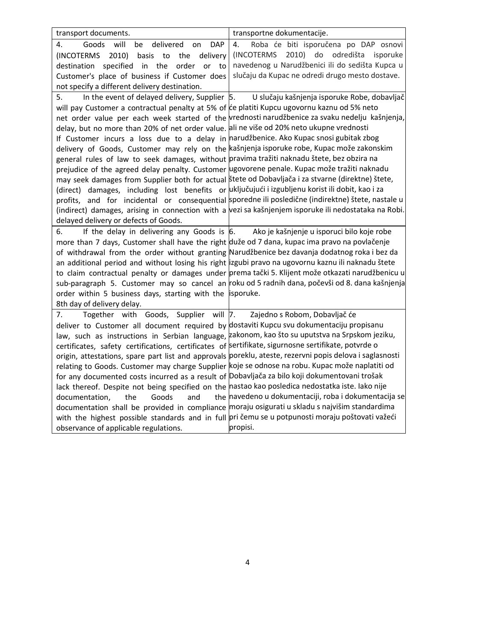| transport documents.                                                                                | transportne dokumentacije.                                                                               |
|-----------------------------------------------------------------------------------------------------|----------------------------------------------------------------------------------------------------------|
| Goods<br>will<br>delivered<br>be<br><b>DAP</b><br>4.<br>on                                          | Roba će biti isporučena po DAP osnovi<br>4.                                                              |
| 2010)<br>(INCOTERMS<br>basis to<br>the<br>delivery                                                  | 2010) do odredišta<br>(INCOTERMS<br>isporuke                                                             |
| specified<br>in the<br>destination<br>order<br><b>or</b><br>to                                      | navedenog u Narudžbenici ili do sedišta Kupca u                                                          |
| Customer's place of business if Customer does                                                       | slučaju da Kupac ne odredi drugo mesto dostave.                                                          |
| not specify a different delivery destination.                                                       |                                                                                                          |
| In the event of delayed delivery, Supplier $\vert$ 5.<br>5.                                         | U slučaju kašnjenja isporuke Robe, dobavljač                                                             |
| will pay Customer a contractual penalty at 5% of ce platiti Kupcu ugovornu kaznu od 5% neto         |                                                                                                          |
|                                                                                                     | net order value per each week started of the vrednosti narudžbenice za svaku nedelju kašnjenja,          |
| delay, but no more than 20% of net order value. ali ne više od 20% neto ukupne vrednosti            |                                                                                                          |
| If Customer incurs a loss due to a delay in narudžbenice. Ako Kupac snosi gubitak zbog              |                                                                                                          |
| delivery of Goods, Customer may rely on the kašnjenja isporuke robe, Kupac može zakonskim           |                                                                                                          |
| general rules of law to seek damages, without pravima tražiti naknadu štete, bez obzira na          |                                                                                                          |
| prejudice of the agreed delay penalty. Customer ugovorene penale. Kupac može tražiti naknadu        |                                                                                                          |
| may seek damages from Supplier both for actual stete od Dobavljača i za stvarne (direktne) štete,   |                                                                                                          |
| (direct) damages, including lost benefits or uključujući i izgubljenu korist ili dobit, kao i za    |                                                                                                          |
|                                                                                                     | profits, and for incidental or consequential sporedne ili posledične (indirektne) štete, nastale u       |
|                                                                                                     | (indirect) damages, arising in connection with a vezi sa kašnjenjem isporuke ili nedostataka na Robi.    |
| delayed delivery or defects of Goods.                                                               |                                                                                                          |
| If the delay in delivering any Goods is $\vert 6$ .<br>6.                                           | Ako je kašnjenje u isporuci bilo koje robe                                                               |
| more than 7 days, Customer shall have the right duže od 7 dana, kupac ima pravo na povlačenje       |                                                                                                          |
| of withdrawal from the order without granting Narudžbenice bez davanja dodatnog roka i bez da       |                                                                                                          |
| an additional period and without losing his right izgubi pravo na ugovornu kaznu ili naknadu štete  |                                                                                                          |
|                                                                                                     | to claim contractual penalty or damages under prema tački 5. Klijent može otkazati narudžbenicu u        |
|                                                                                                     | sub-paragraph 5. Customer may so cancel an roku od 5 radnih dana, počevši od 8. dana kašnjenja           |
| order within 5 business days, starting with the isporuke.                                           |                                                                                                          |
| 8th day of delivery delay.                                                                          |                                                                                                          |
| Together with Goods, Supplier will 7.<br>7.                                                         | Zajedno s Robom, Dobavljač će                                                                            |
| deliver to Customer all document required by dostaviti Kupcu svu dokumentaciju propisanu            |                                                                                                          |
| law, such as instructions in Serbian language, zakonom, kao što su uputstva na Srpskom jeziku,      |                                                                                                          |
| certificates, safety certifications, certificates of sertifikate, sigurnosne sertifikate, potvrde o |                                                                                                          |
|                                                                                                     | origin, attestations, spare part list and approvals poreklu, ateste, rezervni popis delova i saglasnosti |
| relating to Goods. Customer may charge Supplier koje se odnose na robu. Kupac može naplatiti od     |                                                                                                          |
| for any documented costs incurred as a result of Dobavljača za bilo koji dokumentovani trošak       |                                                                                                          |
| lack thereof. Despite not being specified on the nastao kao posledica nedostatka iste. Iako nije    |                                                                                                          |
| Goods<br>and<br>documentation,<br>the                                                               | the navedeno u dokumentaciji, roba i dokumentacija se                                                    |
| documentation shall be provided in compliance moraju osigurati u skladu s najvišim standardima      |                                                                                                          |
| with the highest possible standards and in full pri čemu se u potpunosti moraju poštovati važeći    |                                                                                                          |
| observance of applicable regulations.                                                               | propisi.                                                                                                 |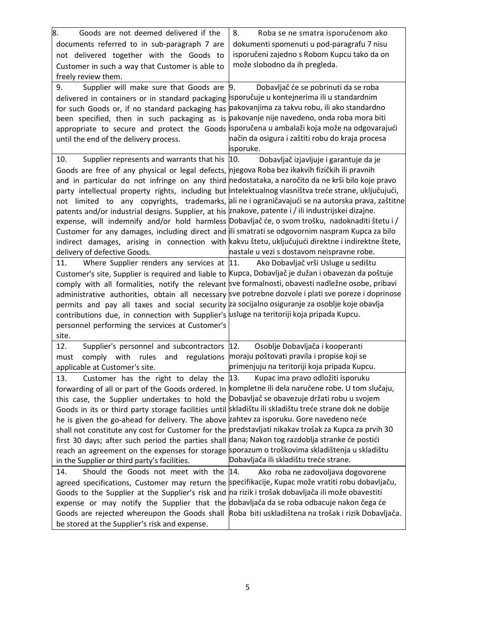| 8.<br>Goods are not deemed delivered if the                                                                                                                                                      | 8.<br>Roba se ne smatra isporučenom ako                                                                |
|--------------------------------------------------------------------------------------------------------------------------------------------------------------------------------------------------|--------------------------------------------------------------------------------------------------------|
| documents referred to in sub-paragraph 7 are                                                                                                                                                     | dokumenti spomenuti u pod-paragrafu 7 nisu                                                             |
| not delivered together with the Goods to                                                                                                                                                         | isporučeni zajedno s Robom Kupcu tako da on                                                            |
| Customer in such a way that Customer is able to                                                                                                                                                  | može slobodno da ih pregleda.                                                                          |
| freely review them.                                                                                                                                                                              |                                                                                                        |
| Supplier will make sure that Goods are<br>9.                                                                                                                                                     | 9.<br>Dobavljač će se pobrinuti da se roba                                                             |
| delivered in containers or in standard packaging isporučuje u kontejnerima ili u standardnim                                                                                                     |                                                                                                        |
| for such Goods or, if no standard packaging has pakovanjima za takvu robu, ili ako standardno                                                                                                    |                                                                                                        |
| been specified, then in such packaging as is pakovanje nije navedeno, onda roba mora biti                                                                                                        |                                                                                                        |
| appropriate to secure and protect the Goods isporučena u ambalaži koja može na odgovarajući                                                                                                      |                                                                                                        |
| until the end of the delivery process.                                                                                                                                                           | način da osigura i zaštiti robu do kraja procesa                                                       |
|                                                                                                                                                                                                  | isporuke.                                                                                              |
| Supplier represents and warrants that his  10.<br>10.                                                                                                                                            | Dobavljač izjavljuje i garantuje da je                                                                 |
| Goods are free of any physical or legal defects, njegova Roba bez ikakvih fizičkih ili pravnih                                                                                                   |                                                                                                        |
| and in particular do not infringe on any third nedostataka, a naročito da ne krši bilo koje pravo                                                                                                |                                                                                                        |
|                                                                                                                                                                                                  | party intellectual property rights, including but intelektualnog vlasništva treće strane, uključujući, |
|                                                                                                                                                                                                  | not limited to any copyrights, trademarks, ali ne i ograničavajući se na autorska prava, zaštitne      |
| patents and/or industrial designs. Supplier, at his znakove, patente i / ili industrijskei dizajne.                                                                                              |                                                                                                        |
|                                                                                                                                                                                                  | expense, will indemnify and/or hold harmless Dobavljač će, o svom trošku, nadoknaditi štetu i /        |
| Customer for any damages, including direct and illi smatrati se odgovornim naspram Kupca za bilo                                                                                                 |                                                                                                        |
|                                                                                                                                                                                                  | indirect damages, arising in connection with kakvu štetu, uključujući direktne i indirektne štete,     |
| delivery of defective Goods.                                                                                                                                                                     | nastale u vezi s dostavom neispravne robe.                                                             |
| 11.                                                                                                                                                                                              | Where Supplier renders any services at 11. Ako Dobavljač vrši Usluge u sedištu                         |
| Customer's site, Supplier is required and liable to Kupca, Dobavljač je dužan i obavezan da poštuje                                                                                              |                                                                                                        |
| comply with all formalities, notify the relevant sve formalnosti, obavesti nadležne osobe, pribavi                                                                                               |                                                                                                        |
|                                                                                                                                                                                                  | administrative authorities, obtain all necessary sve potrebne dozvole i plati sve poreze i doprinose   |
| permits and pay all taxes and social security za socijalno osiguranje za osoblje koje obavlja                                                                                                    |                                                                                                        |
| contributions due, in connection with Supplier's usluge na teritoriji koja pripada Kupcu.                                                                                                        |                                                                                                        |
| personnel performing the services at Customer's                                                                                                                                                  |                                                                                                        |
| site.                                                                                                                                                                                            |                                                                                                        |
| 12.<br>Supplier's personnel and subcontractors 12.                                                                                                                                               | Osoblje Dobavljača i kooperanti                                                                        |
| comply with<br>rules<br>must                                                                                                                                                                     | and regulations moraju poštovati pravila i propise koji se                                             |
| applicable at Customer's site.                                                                                                                                                                   | primenjuju na teritoriji koja pripada Kupcu.                                                           |
| Customer has the right to delay the $ 13$ .<br>13.                                                                                                                                               | Kupac ima pravo odložiti isporuku                                                                      |
| forwarding of all or part of the Goods ordered. In kompletne ili dela naručene robe. U tom slučaju,                                                                                              |                                                                                                        |
| this case, the Supplier undertakes to hold the Dobavljač se obavezuje držati robu u svojem                                                                                                       |                                                                                                        |
| Goods in its or third party storage facilities until skladištu ili skladištu treće strane dok ne dobije                                                                                          |                                                                                                        |
| he is given the go-ahead for delivery. The above zahtev za isporuku. Gore navedeno neće                                                                                                          |                                                                                                        |
| shall not constitute any cost for Customer for the predstavljati nikakav trošak za Kupca za prvih 30                                                                                             |                                                                                                        |
| first 30 days; after such period the parties shall dana; Nakon tog razdoblja stranke će postići<br>reach an agreement on the expenses for storage sporazum o troškovima skladištenja u skladištu |                                                                                                        |
|                                                                                                                                                                                                  | Dobavljača ili skladištu treće strane.                                                                 |
| in the Supplier or third party's facilities.                                                                                                                                                     |                                                                                                        |
| Should the Goods not meet with the 14.<br>14.                                                                                                                                                    | Ako roba ne zadovoljava dogovorene                                                                     |
| agreed specifications, Customer may return the specifikacije, Kupac može vratiti robu dobavljaču,                                                                                                |                                                                                                        |
| Goods to the Supplier at the Supplier's risk and na rizik i trošak dobavljača ili može obavestiti<br>expense or may notify the Supplier that the dobavljača da se roba odbacuje nakon čega će    |                                                                                                        |
|                                                                                                                                                                                                  | Goods are rejected whereupon the Goods shall Roba biti uskladištena na trošak i rizik Dobavljača.      |
| be stored at the Supplier's risk and expense.                                                                                                                                                    |                                                                                                        |
|                                                                                                                                                                                                  |                                                                                                        |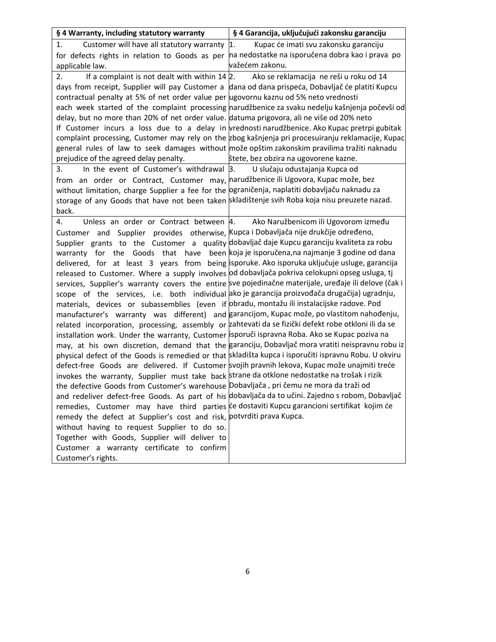| § 4 Warranty, including statutory warranty                                                                                                                                                              | § 4 Garancija, uključujući zakonsku garanciju                                                         |
|---------------------------------------------------------------------------------------------------------------------------------------------------------------------------------------------------------|-------------------------------------------------------------------------------------------------------|
| Customer will have all statutory warranty 1.<br>1.                                                                                                                                                      | Kupac će imati svu zakonsku garanciju                                                                 |
| for defects rights in relation to Goods as per                                                                                                                                                          | na nedostatke na isporučena dobra kao i prava po                                                      |
| applicable law.                                                                                                                                                                                         | važećem zakonu.                                                                                       |
| 2.                                                                                                                                                                                                      | If a complaint is not dealt with within $14 2$ . Ako se reklamacija ne reši u roku od 14              |
| days from receipt, Supplier will pay Customer a dana od dana prispeća, Dobavljač će platiti Kupcu                                                                                                       |                                                                                                       |
| contractual penalty at 5% of net order value per ugovornu kaznu od 5% neto vrednosti                                                                                                                    |                                                                                                       |
|                                                                                                                                                                                                         | each week started of the complaint processing narudžbenice za svaku nedelju kašnjenja počevši od      |
| delay, but no more than 20% of net order value. datuma prigovora, ali ne više od 20% neto                                                                                                               |                                                                                                       |
|                                                                                                                                                                                                         | If Customer incurs a loss due to a delay in vrednosti narudžbenice. Ako Kupac pretrpi gubitak         |
|                                                                                                                                                                                                         | complaint processing, Customer may rely on the zbog kašnjenja pri procesuiranju reklamacije, Kupac    |
| general rules of law to seek damages without može opštim zakonskim pravilima tražiti naknadu                                                                                                            |                                                                                                       |
| prejudice of the agreed delay penalty.                                                                                                                                                                  | štete, bez obzira na ugovorene kazne.                                                                 |
| In the event of Customer's withdrawal 3. U slučaju odustajanja Kupca od<br>3.                                                                                                                           |                                                                                                       |
| from an order or Contract, Customer may, narudžbenice ili Ugovora, Kupac može, bez                                                                                                                      |                                                                                                       |
| without limitation, charge Supplier a fee for the ograničenja, naplatiti dobavljaču naknadu za                                                                                                          |                                                                                                       |
| storage of any Goods that have not been taken skladištenje svih Roba koja nisu preuzete nazad.                                                                                                          |                                                                                                       |
| back.                                                                                                                                                                                                   |                                                                                                       |
| Unless an order or Contract between 4.<br>4.                                                                                                                                                            | Ako Naružbenicom ili Ugovorom između                                                                  |
| Customer and Supplier provides otherwise, Kupca i Dobavljača nije drukčije određeno,                                                                                                                    |                                                                                                       |
| Supplier grants to the Customer a quality dobavljač daje Kupcu garanciju kvaliteta za robu                                                                                                              |                                                                                                       |
| warranty for the                                                                                                                                                                                        | Goods that have been koja je isporučena, na najmanje 3 godine od dana                                 |
| delivered, for at least 3 years from being isporuke. Ako isporuka uključuje usluge, garancija                                                                                                           |                                                                                                       |
| released to Customer. Where a supply involves od dobavljača pokriva celokupni opseg usluga, tj                                                                                                          |                                                                                                       |
|                                                                                                                                                                                                         | services, Supplier's warranty covers the entire sve pojedinačne materijale, uređaje ili delove (čak i |
| scope of the services, i.e. both individual ako je garancija proizvođača drugačija) ugradnju,                                                                                                           |                                                                                                       |
| materials, devices or subassemblies (even if obradu, montažu ili instalacijske radove. Pod                                                                                                              |                                                                                                       |
| manufacturer's warranty was different) and garancijom, Kupac može, po vlastitom nahođenju,                                                                                                              |                                                                                                       |
| related incorporation, processing, assembly or zahtevati da se fizički defekt robe otkloni ili da se<br>installation work. Under the warranty, Customer lisporuči ispravna Roba. Ako se Kupac poziva na |                                                                                                       |
|                                                                                                                                                                                                         | may, at his own discretion, demand that the garanciju, Dobavljač mora vratiti neispravnu robu iz      |
|                                                                                                                                                                                                         | physical defect of the Goods is remedied or that skladišta kupca i isporučiti ispravnu Robu. U okviru |
| defect-free Goods are delivered. If Customer svojih pravnih lekova, Kupac može unajmiti treće                                                                                                           |                                                                                                       |
| invokes the warranty, Supplier must take back strane da otklone nedostatke na trošak i rizik                                                                                                            |                                                                                                       |
| the defective Goods from Customer's warehouse Dobavljača, pri čemu ne mora da traži od                                                                                                                  |                                                                                                       |
|                                                                                                                                                                                                         | and redeliver defect-free Goods. As part of his dobavljača da to učini. Zajedno s robom, Dobavljač    |
| remedies, Customer may have third parties će dostaviti Kupcu garancioni sertifikat kojim će                                                                                                             |                                                                                                       |
| remedy the defect at Supplier's cost and risk, potvrditi prava Kupca.                                                                                                                                   |                                                                                                       |
| without having to request Supplier to do so.                                                                                                                                                            |                                                                                                       |
| Together with Goods, Supplier will deliver to                                                                                                                                                           |                                                                                                       |
| Customer a warranty certificate to confirm                                                                                                                                                              |                                                                                                       |
| Customer's rights.                                                                                                                                                                                      |                                                                                                       |
|                                                                                                                                                                                                         |                                                                                                       |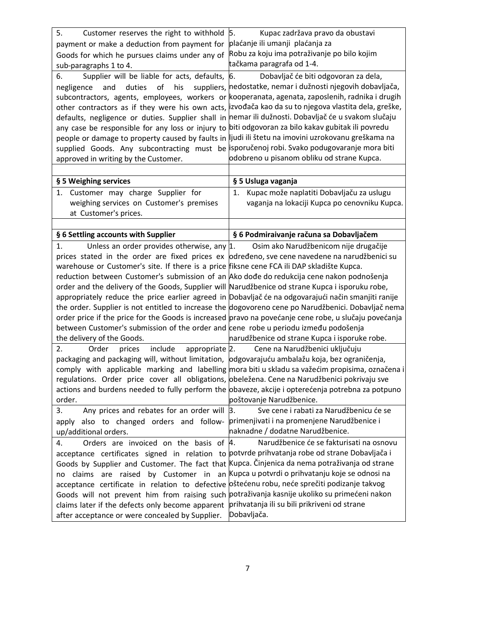| 5.<br>Customer reserves the right to withhold 5.                                                    | Kupac zadržava pravo da obustavi                                                                      |
|-----------------------------------------------------------------------------------------------------|-------------------------------------------------------------------------------------------------------|
| payment or make a deduction from payment for                                                        | plaćanje ili umanji plaćanja za                                                                       |
| Goods for which he pursues claims under any of                                                      | Robu za koju ima potraživanje po bilo kojim                                                           |
| sub-paragraphs 1 to 4.                                                                              | tačkama paragrafa od 1-4.                                                                             |
| Supplier will be liable for acts, defaults,<br>6.                                                   | 6.<br>Dobavljač će biti odgovoran za dela,                                                            |
| duties<br>of<br>and<br>his<br>negligence                                                            | suppliers, nedostatke, nemar i dužnosti njegovih dobavljača,                                          |
|                                                                                                     | subcontractors, agents, employees, workers or kooperanata, agenata, zaposlenih, radnika i drugih      |
|                                                                                                     | other contractors as if they were his own acts, izvođača kao da su to njegova vlastita dela, greške,  |
| defaults, negligence or duties. Supplier shall in nemar ili dužnosti. Dobavljač će u svakom slučaju |                                                                                                       |
| any case be responsible for any loss or injury to biti odgovoran za bilo kakav gubitak ili povredu  |                                                                                                       |
| people or damage to property caused by faults in  ljudi ili štetu na imovini uzrokovanu greškama na |                                                                                                       |
| supplied Goods. Any subcontracting must be isporučenoj robi. Svako podugovaranje mora biti          |                                                                                                       |
| approved in writing by the Customer.                                                                | odobreno u pisanom obliku od strane Kupca.                                                            |
|                                                                                                     |                                                                                                       |
| § 5 Weighing services                                                                               | § 5 Usluga vaganja                                                                                    |
| Customer may charge Supplier for<br>1.                                                              | Kupac može naplatiti Dobavljaču za uslugu<br>1.                                                       |
| weighing services on Customer's premises                                                            | vaganja na lokaciji Kupca po cenovniku Kupca.                                                         |
| at Customer's prices.                                                                               |                                                                                                       |
|                                                                                                     |                                                                                                       |
| § 6 Settling accounts with Supplier                                                                 | § 6 Podmiraivanje računa sa Dobavljačem                                                               |
| Unless an order provides otherwise, any $ 1$ .<br>1.                                                | Osim ako Narudžbenicom nije drugačije                                                                 |
| prices stated in the order are fixed prices ex određeno, sve cene navedene na narudžbenici su       |                                                                                                       |
| warehouse or Customer's site. If there is a price fiksne cene FCA ili DAP skladište Kupca.          |                                                                                                       |
| reduction between Customer's submission of an Ako dođe do redukcija cene nakon podnošenja           |                                                                                                       |
| order and the delivery of the Goods, Supplier will Narudžbenice od strane Kupca i isporuku robe,    |                                                                                                       |
|                                                                                                     | appropriately reduce the price earlier agreed in Dobavljač će na odgovarajući način smanjiti ranije   |
|                                                                                                     | the order. Supplier is not entitled to increase the dogovoreno cene po Narudžbenici. Dobavljač nema   |
|                                                                                                     | order price if the price for the Goods is increased pravo na povećanje cene robe, u slučaju povećanja |
| between Customer's submission of the order and cene robe u periodu između podošenja                 |                                                                                                       |
| the delivery of the Goods.                                                                          | narudžbenice od strane Kupca i isporuke robe.                                                         |
| include<br>appropriate 2.<br>2.<br>Order<br>prices                                                  | Cene na Narudžbenici uključuju                                                                        |
| packaging and packaging will, without limitation, odgovarajuću ambalažu koja, bez ograničenja,      |                                                                                                       |
|                                                                                                     | comply with applicable marking and labelling mora biti u skladu sa važećim propisima, označena i      |
| regulations. Order price cover all obligations, obeležena. Cene na Narudžbenici pokrivaju sve       |                                                                                                       |
|                                                                                                     | actions and burdens needed to fully perform the obaveze, akcije i opterećenja potrebna za potpuno     |
| order.                                                                                              | poštovanje Narudžbenice.                                                                              |
| Any prices and rebates for an order will $ 3$ .<br>3.                                               | Sve cene i rabati za Narudžbenicu će se                                                               |
| also to changed orders and follow-<br>apply                                                         | primenjivati i na promenjene Narudžbenice i                                                           |
| up/additional orders.                                                                               | naknadne / dodatne Narudžbenice.                                                                      |
| Orders are invoiced on the basis of 4.<br>4.                                                        | Narudžbenice će se fakturisati na osnovu                                                              |
| acceptance certificates signed in relation to potvrde prihvatanja robe od strane Dobavljača i       |                                                                                                       |
| Goods by Supplier and Customer. The fact that Kupca. Činjenica da nema potraživanja od strane       |                                                                                                       |
| claims<br>no                                                                                        | are raised by Customer in an Kupca u potvrdi o prihvatanju koje se odnosi na                          |
| acceptance certificate in relation to defective oštećenu robu, neće sprečiti podizanje takvog       |                                                                                                       |
| Goods will not prevent him from raising such potraživanja kasnije ukoliko su primećeni nakon        |                                                                                                       |
| claims later if the defects only become apparent                                                    | prihvatanja ili su bili prikriveni od strane                                                          |
| after acceptance or were concealed by Supplier.                                                     | Dobavljača.                                                                                           |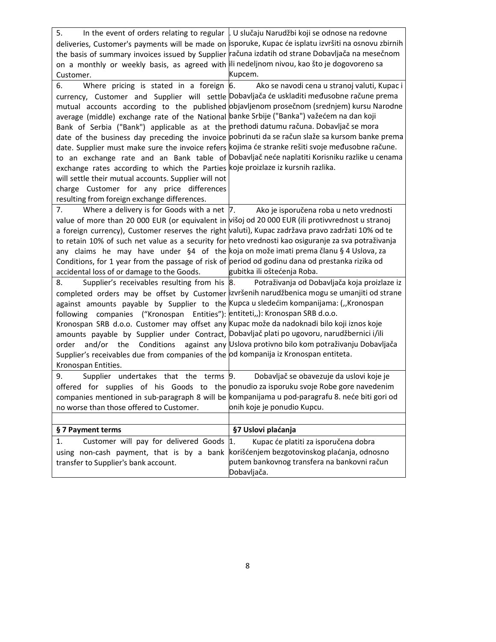| 5.                                                                                                  | In the event of orders relating to regular   U slučaju Narudžbi koji se odnose na redovne             |
|-----------------------------------------------------------------------------------------------------|-------------------------------------------------------------------------------------------------------|
|                                                                                                     | deliveries, Customer's payments will be made on isporuke, Kupac će isplatu izvršiti na osnovu zbirnih |
|                                                                                                     | the basis of summary invoices issued by Supplier računa izdatih od strane Dobavljača na mesečnom      |
| on a monthly or weekly basis, as agreed with ili nedeljnom nivou, kao što je dogovoreno sa          |                                                                                                       |
| Customer.                                                                                           | Kupcem.                                                                                               |
| Where pricing is stated in a foreign $ 6$ .<br>6.                                                   | Ako se navodi cena u stranoj valuti, Kupac i                                                          |
|                                                                                                     | currency, Customer and Supplier will settle Dobavljača će uskladiti međusobne račune prema            |
|                                                                                                     | mutual accounts according to the published objavljenom prosečnom (srednjem) kursu Narodne             |
| average (middle) exchange rate of the National banke Srbije ("Banka") važećem na dan koji           |                                                                                                       |
| Bank of Serbia ("Bank") applicable as at the prethodi datumu računa. Dobavljač se mora              |                                                                                                       |
|                                                                                                     | date of the business day preceding the invoice pobrinuti da se račun slaže sa kursom banke prema      |
| date. Supplier must make sure the invoice refers kojima će stranke rešiti svoje međusobne račune.   |                                                                                                       |
|                                                                                                     | to an exchange rate and an Bank table of Dobavljačneće naplatiti Korisniku razlike u cenama           |
| exchange rates according to which the Parties koje proizlaze iz kursnih razlika.                    |                                                                                                       |
| will settle their mutual accounts. Supplier will not                                                |                                                                                                       |
| charge Customer for any price differences                                                           |                                                                                                       |
| resulting from foreign exchange differences.                                                        |                                                                                                       |
| Where a delivery is for Goods with a net $ 7 $ .<br>7.                                              | Ako je isporučena roba u neto vrednosti                                                               |
| value of more than 20 000 EUR (or equivalent in višoj od 20 000 EUR (ili protivvrednost u stranoj   |                                                                                                       |
| a foreign currency), Customer reserves the right valuti), Kupac zadržava pravo zadržati 10% od te   |                                                                                                       |
| to retain 10% of such net value as a security for neto vrednosti kao osiguranje za sva potraživanja |                                                                                                       |
| any claims he may have under §4 of the koja on može imati prema članu § 4 Uslova, za                |                                                                                                       |
| Conditions, for 1 year from the passage of risk of period od godinu dana od prestanka rizika od     |                                                                                                       |
| accidental loss of or damage to the Goods.                                                          | gubitka ili oštećenja Roba.                                                                           |
| 8.                                                                                                  | Supplier's receivables resulting from his 8. Potraživanja od Dobavljača koja proizlaze iz             |
|                                                                                                     | completed orders may be offset by Customer  izvršenih narudžbenica mogu se umanjiti od strane         |
| against amounts payable by Supplier to the Kupca u sledećim kompanijama: ("Kronospan                |                                                                                                       |
| following companies ("Kronospan Entities"): entiteti,,): Kronospan SRB d.o.o.                       |                                                                                                       |
| Kronospan SRB d.o.o. Customer may offset any Kupac može da nadoknadi bilo koji iznos koje           |                                                                                                       |
| amounts payable by Supplier under Contract, Dobavljač plati po ugovoru, narudžbernici i/ili         |                                                                                                       |
| Conditions<br>order and/or the                                                                      | against any Uslova protivno bilo kom potraživanju Dobavljača                                          |
| Supplier's receivables due from companies of the od kompanija iz Kronospan entiteta.                |                                                                                                       |
| Kronospan Entities.                                                                                 |                                                                                                       |
| Supplier undertakes that the terms 9.<br>9.                                                         | Dobavljač se obavezuje da uslovi koje je                                                              |
| offered for supplies of his Goods to the ponudio za isporuku svoje Robe gore navedenim              |                                                                                                       |
| companies mentioned in sub-paragraph 8 will be kompanijama u pod-paragrafu 8. neće biti gori od     |                                                                                                       |
| no worse than those offered to Customer.                                                            | onih koje je ponudio Kupcu.                                                                           |
|                                                                                                     |                                                                                                       |
| § 7 Payment terms                                                                                   | §7 Uslovi plaćanja                                                                                    |
| Customer will pay for delivered Goods<br>1.                                                         | 1.<br>Kupac će platiti za isporučena dobra                                                            |
| using non-cash payment, that is by a bank                                                           | korišćenjem bezgotovinskog plaćanja, odnosno                                                          |
| transfer to Supplier's bank account.                                                                | putem bankovnog transfera na bankovni račun                                                           |
|                                                                                                     | Dobavljača.                                                                                           |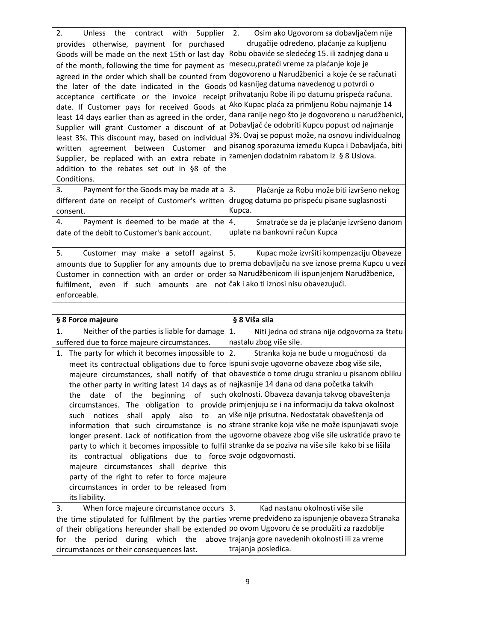| 2.<br>Unless<br>the<br>contract<br>with<br>Supplier<br>provides otherwise, payment for purchased<br>Goods will be made on the next 15th or last day<br>of the month, following the time for payment as<br>agreed in the order which shall be counted from<br>the later of the date indicated in the Goods<br>acceptance certificate or the invoice receipt<br>date. If Customer pays for received Goods at<br>least 14 days earlier than as agreed in the order,<br>Supplier will grant Customer a discount of at<br>least 3%. This discount may, based on individual<br>written agreement between Customer and<br>Supplier, be replaced with an extra rebate in | 2.<br>Osim ako Ugovorom sa dobavljačem nije<br>drugačije određeno, plaćanje za kupljenu<br>Robu obaviće se sledećeg 15. ili zadnjeg dana u<br>mesecu, prateći vreme za plaćanje koje je<br>dogovoreno u Narudžbenici a koje će se računati<br>od kasnijeg datuma navedenog u potvrdi o<br>prihvatanju Robe ili po datumu prispeća računa.<br>Ako Kupac plaća za primljenu Robu najmanje 14<br>dana ranije nego što je dogovoreno u narudžbenici,<br>Dobavljač će odobriti Kupcu popust od najmanje<br>3%. Ovaj se popust može, na osnovu individualnog<br>pisanog sporazuma između Kupca i Dobavljača, biti<br>zamenjen dodatnim rabatom iz § 8 Uslova.                  |
|------------------------------------------------------------------------------------------------------------------------------------------------------------------------------------------------------------------------------------------------------------------------------------------------------------------------------------------------------------------------------------------------------------------------------------------------------------------------------------------------------------------------------------------------------------------------------------------------------------------------------------------------------------------|--------------------------------------------------------------------------------------------------------------------------------------------------------------------------------------------------------------------------------------------------------------------------------------------------------------------------------------------------------------------------------------------------------------------------------------------------------------------------------------------------------------------------------------------------------------------------------------------------------------------------------------------------------------------------|
| addition to the rebates set out in §8 of the<br>Conditions.<br>3.<br>Payment for the Goods may be made at a                                                                                                                                                                                                                                                                                                                                                                                                                                                                                                                                                      | Plaćanje za Robu može biti izvršeno nekog<br>3.                                                                                                                                                                                                                                                                                                                                                                                                                                                                                                                                                                                                                          |
| different date on receipt of Customer's written<br>consent.                                                                                                                                                                                                                                                                                                                                                                                                                                                                                                                                                                                                      | drugog datuma po prispeću pisane suglasnosti<br>Kupca.                                                                                                                                                                                                                                                                                                                                                                                                                                                                                                                                                                                                                   |
| Payment is deemed to be made at the<br>4.<br>date of the debit to Customer's bank account.                                                                                                                                                                                                                                                                                                                                                                                                                                                                                                                                                                       | 4.<br>Smatraće se da je plaćanje izvršeno danom<br>uplate na bankovni račun Kupca                                                                                                                                                                                                                                                                                                                                                                                                                                                                                                                                                                                        |
| 5.<br>Customer may make a setoff against 5.<br>Customer in connection with an order or order sa Narudžbenicom ili ispunjenjem Narudžbenice,<br>fulfilment, even if such amounts are not čak i ako ti iznosi nisu obavezujući.<br>enforceable.                                                                                                                                                                                                                                                                                                                                                                                                                    | Kupac može izvršiti kompenzaciju Obaveze<br>amounts due to Supplier for any amounts due to prema dobavljaču na sve iznose prema Kupcu u vezi                                                                                                                                                                                                                                                                                                                                                                                                                                                                                                                             |
|                                                                                                                                                                                                                                                                                                                                                                                                                                                                                                                                                                                                                                                                  | § 8 Viša sila                                                                                                                                                                                                                                                                                                                                                                                                                                                                                                                                                                                                                                                            |
| § 8 Force majeure<br>Neither of the parties is liable for damage<br>1.                                                                                                                                                                                                                                                                                                                                                                                                                                                                                                                                                                                           | 1.<br>Niti jedna od strana nije odgovorna za štetu                                                                                                                                                                                                                                                                                                                                                                                                                                                                                                                                                                                                                       |
| suffered due to force majeure circumstances.                                                                                                                                                                                                                                                                                                                                                                                                                                                                                                                                                                                                                     | nastalu zbog više sile.                                                                                                                                                                                                                                                                                                                                                                                                                                                                                                                                                                                                                                                  |
| 1. The party for which it becomes impossible to<br>meet its contractual obligations due to force ispuni svoje ugovorne obaveze zbog više sile,<br>the other party in writing latest 14 days as of najkasnije 14 dana od dana početka takvih<br>of the<br>the<br>date<br>apply also<br>to<br>notices<br>shall<br>such<br>its contractual obligations due to force svoje odgovornosti.<br>majeure circumstances shall deprive this<br>party of the right to refer to force majeure<br>circumstances in order to be released from<br>its liability.                                                                                                                 | Stranka koja ne bude u mogućnosti da<br>2.<br>majeure circumstances, shall notify of that obavestiće o tome drugu stranku u pisanom obliku<br>beginning of such okolnosti. Obaveza davanja takvog obaveštenja<br>circumstances. The obligation to provide primjenjuju se i na informaciju da takva okolnost<br>an više nije prisutna. Nedostatak obaveštenja od<br>information that such circumstance is no strane stranke koja više ne može ispunjavati svoje<br>longer present. Lack of notification from the ugovorne obaveze zbog više sile uskratiće pravo te<br>party to which it becomes impossible to fulfil stranke da se poziva na više sile kako bi se lišila |
| When force majeure circumstance occurs 3.<br>3.                                                                                                                                                                                                                                                                                                                                                                                                                                                                                                                                                                                                                  | Kad nastanu okolnosti više sile                                                                                                                                                                                                                                                                                                                                                                                                                                                                                                                                                                                                                                          |
|                                                                                                                                                                                                                                                                                                                                                                                                                                                                                                                                                                                                                                                                  | the time stipulated for fulfilment by the parties vreme predvideno za ispunjenje obaveza Stranaka                                                                                                                                                                                                                                                                                                                                                                                                                                                                                                                                                                        |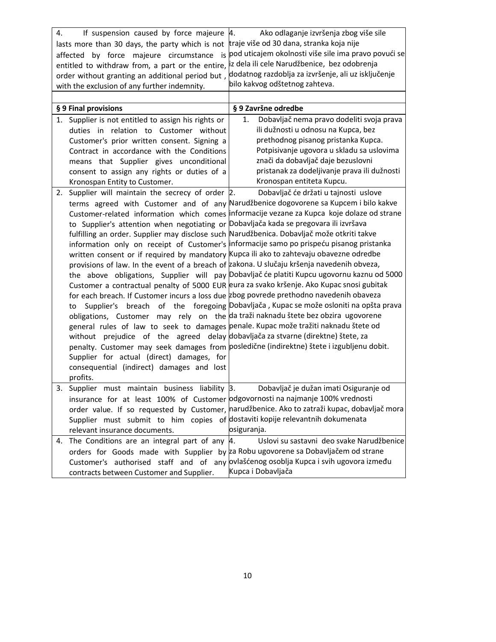| 4. | If suspension caused by force majeure<br>lasts more than 30 days, the party which is not<br>affected by force majeure circumstance<br>is<br>entitled to withdraw from, a part or the entire,<br>order without granting an additional period but,<br>with the exclusion of any further indemnity.                                                                                                                                                                                                                                                                                                                                                                                                                                                                                                                                                    | Ako odlaganje izvršenja zbog više sile<br>4.<br>traje više od 30 dana, stranka koja nije<br>pod uticajem okolnosti više sile ima pravo povući se<br>iz dela ili cele Narudžbenice, bez odobrenja<br>dodatnog razdoblja za izvršenje, ali uz isključenje<br>bilo kakvog odštetnog zahteva.                                                                                                                                                                                                                                                                                                                                                                      |
|----|-----------------------------------------------------------------------------------------------------------------------------------------------------------------------------------------------------------------------------------------------------------------------------------------------------------------------------------------------------------------------------------------------------------------------------------------------------------------------------------------------------------------------------------------------------------------------------------------------------------------------------------------------------------------------------------------------------------------------------------------------------------------------------------------------------------------------------------------------------|----------------------------------------------------------------------------------------------------------------------------------------------------------------------------------------------------------------------------------------------------------------------------------------------------------------------------------------------------------------------------------------------------------------------------------------------------------------------------------------------------------------------------------------------------------------------------------------------------------------------------------------------------------------|
|    |                                                                                                                                                                                                                                                                                                                                                                                                                                                                                                                                                                                                                                                                                                                                                                                                                                                     |                                                                                                                                                                                                                                                                                                                                                                                                                                                                                                                                                                                                                                                                |
|    | § 9 Final provisions                                                                                                                                                                                                                                                                                                                                                                                                                                                                                                                                                                                                                                                                                                                                                                                                                                | § 9 Završne odredbe                                                                                                                                                                                                                                                                                                                                                                                                                                                                                                                                                                                                                                            |
|    | 1. Supplier is not entitled to assign his rights or<br>duties in relation to Customer without<br>Customer's prior written consent. Signing a<br>Contract in accordance with the Conditions<br>means that Supplier gives unconditional<br>consent to assign any rights or duties of a<br>Kronospan Entity to Customer.                                                                                                                                                                                                                                                                                                                                                                                                                                                                                                                               | Dobavljač nema pravo dodeliti svoja prava<br>1.<br>ili dužnosti u odnosu na Kupca, bez<br>prethodnog pisanog pristanka Kupca.<br>Potpisivanje ugovora u skladu sa uslovima<br>znači da dobavljač daje bezuslovni<br>pristanak za dodeljivanje prava ili dužnosti<br>Kronospan entiteta Kupcu.                                                                                                                                                                                                                                                                                                                                                                  |
| 2. | Supplier will maintain the secrecy of order 2.                                                                                                                                                                                                                                                                                                                                                                                                                                                                                                                                                                                                                                                                                                                                                                                                      | Dobavljač će držati u tajnosti uslove                                                                                                                                                                                                                                                                                                                                                                                                                                                                                                                                                                                                                          |
|    | to Supplier's attention when negotiating or Dobavljača kada se pregovara ili izvršava<br>fulfilling an order. Supplier may disclose such Narudžbenica. Dobavljač može otkriti takve<br>written consent or if required by mandatory Kupca ili ako to zahtevaju obavezne odredbe<br>provisions of law. In the event of a breach of zakona. U slučaju kršenja navedenih obveza,<br>for each breach. If Customer incurs a loss due zbog povrede prethodno navedenih obaveza<br>to<br>obligations, Customer may rely on the da traži naknadu štete bez obzira ugovorene<br>general rules of law to seek to damages penale. Kupac može tražiti naknadu štete od<br>without prejudice of the agreed delay dobavljača za stvarne (direktne) štete, za<br>Supplier for actual (direct) damages, for<br>consequential (indirect) damages and lost<br>profits. | terms agreed with Customer and of any Narudžbenice dogovorene sa Kupcem i bilo kakve<br>Customer-related information which comes informacije vezane za Kupca koje dolaze od strane<br>information only on receipt of Customer's informacije samo po prispeću pisanog pristanka<br>the above obligations, Supplier will pay Dobavljač će platiti Kupcu ugovornu kaznu od 5000<br>Customer a contractual penalty of 5000 EUR eura za svako kršenje. Ako Kupac snosi gubitak<br>Supplier's breach of the foregoing Dobavljača, Kupac se može osloniti na opšta prava<br>penalty. Customer may seek damages from posledične (indirektne) štete i izgubljenu dobit. |
| 3. | insurance for at least 100% of Customer odgovornosti na najmanje 100% vrednosti<br>Supplier must submit to him copies of dostaviti kopije relevantnih dokumenata<br>relevant insurance documents.                                                                                                                                                                                                                                                                                                                                                                                                                                                                                                                                                                                                                                                   | Supplier must maintain business liability $\beta$ . Dobavljač je dužan imati Osiguranje od<br>order value. If so requested by Customer, narudžbenice. Ako to zatraži kupac, dobavljač mora<br>osiguranja.                                                                                                                                                                                                                                                                                                                                                                                                                                                      |
|    | 4. The Conditions are an integral part of any $ 4$ .                                                                                                                                                                                                                                                                                                                                                                                                                                                                                                                                                                                                                                                                                                                                                                                                | Uslovi su sastavni deo svake Narudžbenice                                                                                                                                                                                                                                                                                                                                                                                                                                                                                                                                                                                                                      |
|    | orders for Goods made with Supplier by za Robu ugovorene sa Dobavljačem od strane<br>contracts between Customer and Supplier.                                                                                                                                                                                                                                                                                                                                                                                                                                                                                                                                                                                                                                                                                                                       | Customer's authorised staff and of any ovlašćenog osoblja Kupca i svih ugovora između<br>Kupca i Dobavljača                                                                                                                                                                                                                                                                                                                                                                                                                                                                                                                                                    |